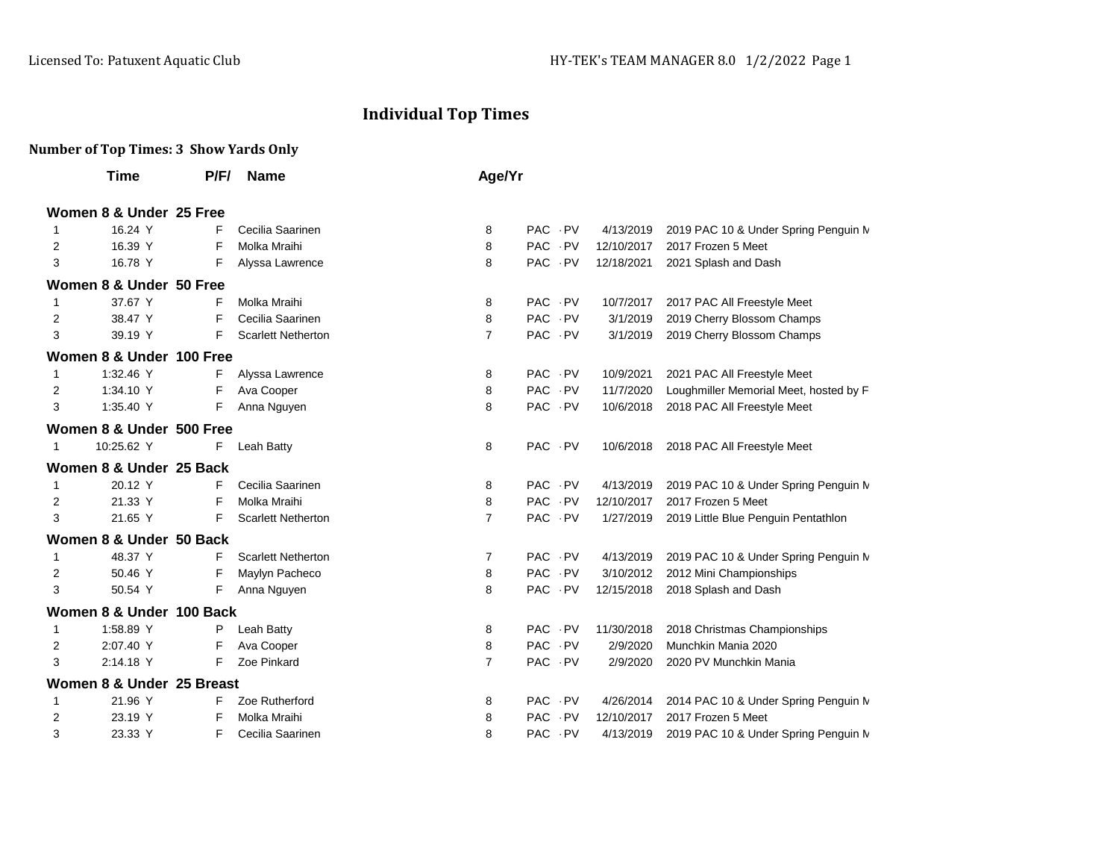## **Individual Top Times**

## **Number of Top Times: 3 Show Yards Only**

|              | Time                      | P/F/ | <b>Name</b>               | Age/Yr         |          |            |                                         |
|--------------|---------------------------|------|---------------------------|----------------|----------|------------|-----------------------------------------|
|              | Women 8 & Under 25 Free   |      |                           |                |          |            |                                         |
| 1            | 16.24 Y                   | F    | Cecilia Saarinen          | 8              | PAC PV   | 4/13/2019  | 2019 PAC 10 & Under Spring Penguin M    |
| 2            | 16.39 Y                   | F    | Molka Mraihi              | 8              | PAC PV   | 12/10/2017 | 2017 Frozen 5 Meet                      |
| 3            | 16.78 Y                   | F    | Alyssa Lawrence           | 8              | PAC PV   | 12/18/2021 | 2021 Splash and Dash                    |
|              | Women 8 & Under 50 Free   |      |                           |                |          |            |                                         |
| 1            | 37.67 Y                   | F    | Molka Mraihi              | 8              | PAC PV   | 10/7/2017  | 2017 PAC All Freestyle Meet             |
| 2            | 38.47 Y                   | F    | Cecilia Saarinen          | 8              | PAC PV   | 3/1/2019   | 2019 Cherry Blossom Champs              |
| 3            | 39.19 Y                   | F    | <b>Scarlett Netherton</b> | $\overline{7}$ | PAC PV   | 3/1/2019   | 2019 Cherry Blossom Champs              |
|              | Women 8 & Under 100 Free  |      |                           |                |          |            |                                         |
| 1            | 1:32.46 Y                 | F    | Alyssa Lawrence           | 8              | PAC PV   | 10/9/2021  | 2021 PAC All Freestyle Meet             |
| 2            | 1:34.10 Y                 | F    | Ava Cooper                | 8              | PAC PV   | 11/7/2020  | Loughmiller Memorial Meet, hosted by F. |
| 3            | 1:35.40 Y                 | F    | Anna Nguyen               | 8              | PAC PV   | 10/6/2018  | 2018 PAC All Freestyle Meet             |
|              | Women 8 & Under 500 Free  |      |                           |                |          |            |                                         |
| $\mathbf{1}$ | 10:25.62 Y                | F    | Leah Batty                | 8              | PAC PV   | 10/6/2018  | 2018 PAC All Freestyle Meet             |
|              | Women 8 & Under 25 Back   |      |                           |                |          |            |                                         |
|              | 20.12 Y                   | F    | Cecilia Saarinen          | 8              | PAC PV   | 4/13/2019  | 2019 PAC 10 & Under Spring Penguin M    |
| 2            | 21.33 Y                   | F    | Molka Mraihi              | 8              | PAC PV   | 12/10/2017 | 2017 Frozen 5 Meet                      |
| 3            | 21.65 Y                   | F    | <b>Scarlett Netherton</b> | $\overline{7}$ | PAC PV   | 1/27/2019  | 2019 Little Blue Penguin Pentathlon     |
|              | Women 8 & Under 50 Back   |      |                           |                |          |            |                                         |
| 1            | 48.37 Y                   | F    | <b>Scarlett Netherton</b> | 7              | PAC - PV | 4/13/2019  | 2019 PAC 10 & Under Spring Penguin M    |
| 2            | 50.46 Y                   | F    | Maylyn Pacheco            | 8              | PAC PV   | 3/10/2012  | 2012 Mini Championships                 |
| 3            | 50.54 Y                   | F    | Anna Nguyen               | 8              | PAC PV   | 12/15/2018 | 2018 Splash and Dash                    |
|              | Women 8 & Under 100 Back  |      |                           |                |          |            |                                         |
| 1            | 1:58.89 Y                 | Ρ    | Leah Batty                | 8              | PAC PV   | 11/30/2018 | 2018 Christmas Championships            |
| 2            | 2:07.40 Y                 | F    | Ava Cooper                | 8              | PAC PV   | 2/9/2020   | Munchkin Mania 2020                     |
| 3            | 2:14.18 Y                 | F    | Zoe Pinkard               | $\overline{7}$ | PAC PV   | 2/9/2020   | 2020 PV Munchkin Mania                  |
|              | Women 8 & Under 25 Breast |      |                           |                |          |            |                                         |
| 1            | 21.96 Y                   | F    | Zoe Rutherford            | 8              | PAC PV   | 4/26/2014  | 2014 PAC 10 & Under Spring Penguin M    |
| 2            | 23.19 Y                   | F    | Molka Mraihi              | 8              | PAC PV   | 12/10/2017 | 2017 Frozen 5 Meet                      |
| 3            | 23.33 Y                   | F    | Cecilia Saarinen          | 8              | PAC PV   | 4/13/2019  | 2019 PAC 10 & Under Spring Penguin M    |